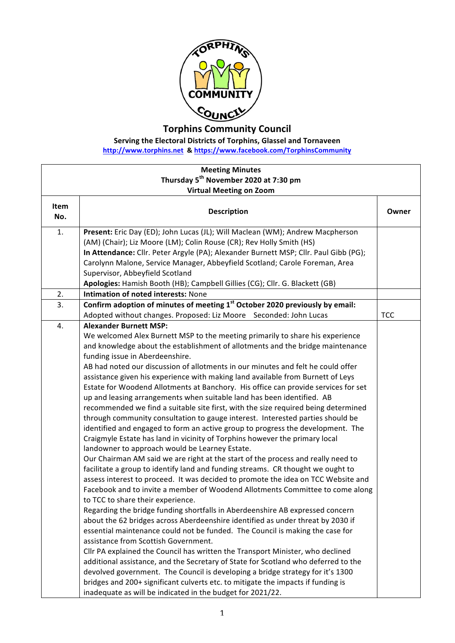

**Torphins Community Council**

**Serving the Electoral Districts of Torphins, Glassel and Tornaveen** 

**http://www.torphins.net & https://www.facebook.com/TorphinsCommunity**

| <b>Meeting Minutes</b><br>Thursday 5 <sup>th</sup> November 2020 at 7:30 pm |                                                                                                                                                                                                                                                                                                                                                                                                                                                                                                                                                                                                                                                                                                                                                                                                                                                                                                                                                                                                                                                                                                                                                                                                                                                                                                                                                                                                                                                                                                                                                                                                                                                                                                                                                                                                                                                                                                                                                                                                                                                                   |            |  |  |
|-----------------------------------------------------------------------------|-------------------------------------------------------------------------------------------------------------------------------------------------------------------------------------------------------------------------------------------------------------------------------------------------------------------------------------------------------------------------------------------------------------------------------------------------------------------------------------------------------------------------------------------------------------------------------------------------------------------------------------------------------------------------------------------------------------------------------------------------------------------------------------------------------------------------------------------------------------------------------------------------------------------------------------------------------------------------------------------------------------------------------------------------------------------------------------------------------------------------------------------------------------------------------------------------------------------------------------------------------------------------------------------------------------------------------------------------------------------------------------------------------------------------------------------------------------------------------------------------------------------------------------------------------------------------------------------------------------------------------------------------------------------------------------------------------------------------------------------------------------------------------------------------------------------------------------------------------------------------------------------------------------------------------------------------------------------------------------------------------------------------------------------------------------------|------------|--|--|
|                                                                             | <b>Virtual Meeting on Zoom</b>                                                                                                                                                                                                                                                                                                                                                                                                                                                                                                                                                                                                                                                                                                                                                                                                                                                                                                                                                                                                                                                                                                                                                                                                                                                                                                                                                                                                                                                                                                                                                                                                                                                                                                                                                                                                                                                                                                                                                                                                                                    |            |  |  |
| Item<br>No.                                                                 | <b>Description</b>                                                                                                                                                                                                                                                                                                                                                                                                                                                                                                                                                                                                                                                                                                                                                                                                                                                                                                                                                                                                                                                                                                                                                                                                                                                                                                                                                                                                                                                                                                                                                                                                                                                                                                                                                                                                                                                                                                                                                                                                                                                | Owner      |  |  |
| 1.                                                                          | Present: Eric Day (ED); John Lucas (JL); Will Maclean (WM); Andrew Macpherson<br>(AM) (Chair); Liz Moore (LM); Colin Rouse (CR); Rev Holly Smith (HS)<br>In Attendance: Cllr. Peter Argyle (PA); Alexander Burnett MSP; Cllr. Paul Gibb (PG);<br>Carolynn Malone, Service Manager, Abbeyfield Scotland; Carole Foreman, Area                                                                                                                                                                                                                                                                                                                                                                                                                                                                                                                                                                                                                                                                                                                                                                                                                                                                                                                                                                                                                                                                                                                                                                                                                                                                                                                                                                                                                                                                                                                                                                                                                                                                                                                                      |            |  |  |
|                                                                             | Supervisor, Abbeyfield Scotland<br>Apologies: Hamish Booth (HB); Campbell Gillies (CG); Cllr. G. Blackett (GB)                                                                                                                                                                                                                                                                                                                                                                                                                                                                                                                                                                                                                                                                                                                                                                                                                                                                                                                                                                                                                                                                                                                                                                                                                                                                                                                                                                                                                                                                                                                                                                                                                                                                                                                                                                                                                                                                                                                                                    |            |  |  |
| 2.                                                                          | Intimation of noted interests: None                                                                                                                                                                                                                                                                                                                                                                                                                                                                                                                                                                                                                                                                                                                                                                                                                                                                                                                                                                                                                                                                                                                                                                                                                                                                                                                                                                                                                                                                                                                                                                                                                                                                                                                                                                                                                                                                                                                                                                                                                               |            |  |  |
| 3.                                                                          | Confirm adoption of minutes of meeting 1 <sup>st</sup> October 2020 previously by email:                                                                                                                                                                                                                                                                                                                                                                                                                                                                                                                                                                                                                                                                                                                                                                                                                                                                                                                                                                                                                                                                                                                                                                                                                                                                                                                                                                                                                                                                                                                                                                                                                                                                                                                                                                                                                                                                                                                                                                          |            |  |  |
|                                                                             | Adopted without changes. Proposed: Liz Moore Seconded: John Lucas                                                                                                                                                                                                                                                                                                                                                                                                                                                                                                                                                                                                                                                                                                                                                                                                                                                                                                                                                                                                                                                                                                                                                                                                                                                                                                                                                                                                                                                                                                                                                                                                                                                                                                                                                                                                                                                                                                                                                                                                 | <b>TCC</b> |  |  |
| 4.                                                                          | <b>Alexander Burnett MSP:</b><br>We welcomed Alex Burnett MSP to the meeting primarily to share his experience<br>and knowledge about the establishment of allotments and the bridge maintenance<br>funding issue in Aberdeenshire.<br>AB had noted our discussion of allotments in our minutes and felt he could offer<br>assistance given his experience with making land available from Burnett of Leys<br>Estate for Woodend Allotments at Banchory. His office can provide services for set<br>up and leasing arrangements when suitable land has been identified. AB<br>recommended we find a suitable site first, with the size required being determined<br>through community consultation to gauge interest. Interested parties should be<br>identified and engaged to form an active group to progress the development. The<br>Craigmyle Estate has land in vicinity of Torphins however the primary local<br>landowner to approach would be Learney Estate.<br>Our Chairman AM said we are right at the start of the process and really need to<br>facilitate a group to identify land and funding streams. CR thought we ought to<br>assess interest to proceed. It was decided to promote the idea on TCC Website and<br>Facebook and to invite a member of Woodend Allotments Committee to come along<br>to TCC to share their experience.<br>Regarding the bridge funding shortfalls in Aberdeenshire AB expressed concern<br>about the 62 bridges across Aberdeenshire identified as under threat by 2030 if<br>essential maintenance could not be funded. The Council is making the case for<br>assistance from Scottish Government.<br>Cllr PA explained the Council has written the Transport Minister, who declined<br>additional assistance, and the Secretary of State for Scotland who deferred to the<br>devolved government. The Council is developing a bridge strategy for it's 1300<br>bridges and 200+ significant culverts etc. to mitigate the impacts if funding is<br>inadequate as will be indicated in the budget for 2021/22. |            |  |  |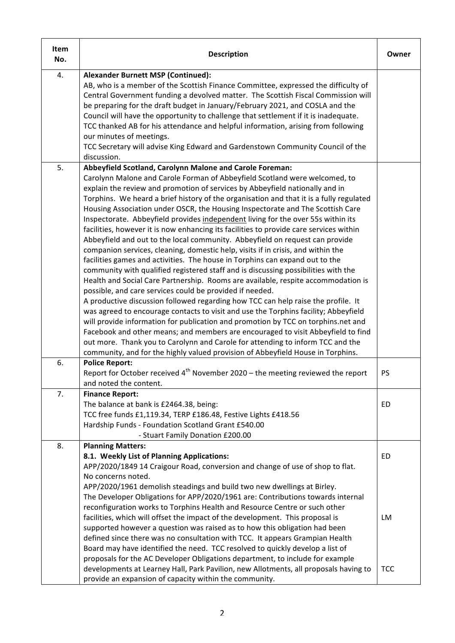| Item<br>No. | <b>Description</b>                                                                                                                                                                                                                                                                                                                                                                                                                                                                                                                                                                                                                                                                                                                                                                                                                                                                                                                                                                                                                                                                                                                                                                                                                                                                                                                                                                                                                                                                                                                                                                                     | Owner           |
|-------------|--------------------------------------------------------------------------------------------------------------------------------------------------------------------------------------------------------------------------------------------------------------------------------------------------------------------------------------------------------------------------------------------------------------------------------------------------------------------------------------------------------------------------------------------------------------------------------------------------------------------------------------------------------------------------------------------------------------------------------------------------------------------------------------------------------------------------------------------------------------------------------------------------------------------------------------------------------------------------------------------------------------------------------------------------------------------------------------------------------------------------------------------------------------------------------------------------------------------------------------------------------------------------------------------------------------------------------------------------------------------------------------------------------------------------------------------------------------------------------------------------------------------------------------------------------------------------------------------------------|-----------------|
| 4.          | <b>Alexander Burnett MSP (Continued):</b><br>AB, who is a member of the Scottish Finance Committee, expressed the difficulty of<br>Central Government funding a devolved matter. The Scottish Fiscal Commission will<br>be preparing for the draft budget in January/February 2021, and COSLA and the<br>Council will have the opportunity to challenge that settlement if it is inadequate.<br>TCC thanked AB for his attendance and helpful information, arising from following<br>our minutes of meetings.<br>TCC Secretary will advise King Edward and Gardenstown Community Council of the<br>discussion.                                                                                                                                                                                                                                                                                                                                                                                                                                                                                                                                                                                                                                                                                                                                                                                                                                                                                                                                                                                         |                 |
| 5.          | Abbeyfield Scotland, Carolynn Malone and Carole Foreman:<br>Carolynn Malone and Carole Forman of Abbeyfield Scotland were welcomed, to<br>explain the review and promotion of services by Abbeyfield nationally and in<br>Torphins. We heard a brief history of the organisation and that it is a fully regulated<br>Housing Association under OSCR, the Housing Inspectorate and The Scottish Care<br>Inspectorate. Abbeyfield provides independent living for the over 55s within its<br>facilities, however it is now enhancing its facilities to provide care services within<br>Abbeyfield and out to the local community. Abbeyfield on request can provide<br>companion services, cleaning, domestic help, visits if in crisis, and within the<br>facilities games and activities. The house in Torphins can expand out to the<br>community with qualified registered staff and is discussing possibilities with the<br>Health and Social Care Partnership. Rooms are available, respite accommodation is<br>possible, and care services could be provided if needed.<br>A productive discussion followed regarding how TCC can help raise the profile. It<br>was agreed to encourage contacts to visit and use the Torphins facility; Abbeyfield<br>will provide information for publication and promotion by TCC on torphins.net and<br>Facebook and other means; and members are encouraged to visit Abbeyfield to find<br>out more. Thank you to Carolynn and Carole for attending to inform TCC and the<br>community, and for the highly valued provision of Abbeyfield House in Torphins. |                 |
| 6.          | <b>Police Report:</b><br>Report for October received $4th$ November 2020 – the meeting reviewed the report<br>and noted the content.                                                                                                                                                                                                                                                                                                                                                                                                                                                                                                                                                                                                                                                                                                                                                                                                                                                                                                                                                                                                                                                                                                                                                                                                                                                                                                                                                                                                                                                                   | PS              |
| 7.          | <b>Finance Report:</b><br>The balance at bank is £2464.38, being:<br>TCC free funds £1,119.34, TERP £186.48, Festive Lights £418.56<br>Hardship Funds - Foundation Scotland Grant £540.00<br>- Stuart Family Donation £200.00                                                                                                                                                                                                                                                                                                                                                                                                                                                                                                                                                                                                                                                                                                                                                                                                                                                                                                                                                                                                                                                                                                                                                                                                                                                                                                                                                                          | ED              |
| 8.          | <b>Planning Matters:</b><br>8.1. Weekly List of Planning Applications:<br>APP/2020/1849 14 Craigour Road, conversion and change of use of shop to flat.<br>No concerns noted.<br>APP/2020/1961 demolish steadings and build two new dwellings at Birley.<br>The Developer Obligations for APP/2020/1961 are: Contributions towards internal<br>reconfiguration works to Torphins Health and Resource Centre or such other<br>facilities, which will offset the impact of the development. This proposal is<br>supported however a question was raised as to how this obligation had been<br>defined since there was no consultation with TCC. It appears Grampian Health<br>Board may have identified the need. TCC resolved to quickly develop a list of<br>proposals for the AC Developer Obligations department, to include for example                                                                                                                                                                                                                                                                                                                                                                                                                                                                                                                                                                                                                                                                                                                                                             | ED<br><b>LM</b> |
|             | developments at Learney Hall, Park Pavilion, new Allotments, all proposals having to<br>provide an expansion of capacity within the community.                                                                                                                                                                                                                                                                                                                                                                                                                                                                                                                                                                                                                                                                                                                                                                                                                                                                                                                                                                                                                                                                                                                                                                                                                                                                                                                                                                                                                                                         | <b>TCC</b>      |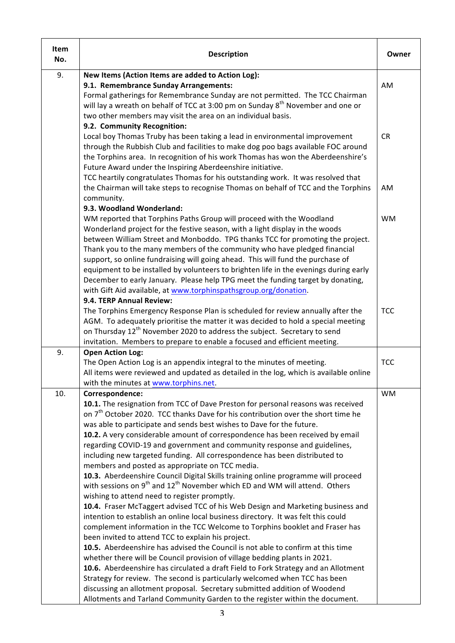| Item<br>No. | <b>Description</b>                                                                                                                                                        | Owner      |
|-------------|---------------------------------------------------------------------------------------------------------------------------------------------------------------------------|------------|
| 9.          | New Items (Action Items are added to Action Log):                                                                                                                         |            |
|             | 9.1. Remembrance Sunday Arrangements:                                                                                                                                     | AM         |
|             | Formal gatherings for Remembrance Sunday are not permitted. The TCC Chairman                                                                                              |            |
|             | will lay a wreath on behalf of TCC at 3:00 pm on Sunday 8 <sup>th</sup> November and one or                                                                               |            |
|             | two other members may visit the area on an individual basis.                                                                                                              |            |
|             | 9.2. Community Recognition:                                                                                                                                               |            |
|             | Local boy Thomas Truby has been taking a lead in environmental improvement                                                                                                | <b>CR</b>  |
|             | through the Rubbish Club and facilities to make dog poo bags available FOC around                                                                                         |            |
|             | the Torphins area. In recognition of his work Thomas has won the Aberdeenshire's                                                                                          |            |
|             | Future Award under the Inspiring Aberdeenshire initiative.                                                                                                                |            |
|             | TCC heartily congratulates Thomas for his outstanding work. It was resolved that                                                                                          |            |
|             | the Chairman will take steps to recognise Thomas on behalf of TCC and the Torphins                                                                                        | AM.        |
|             | community.                                                                                                                                                                |            |
|             | 9.3. Woodland Wonderland:                                                                                                                                                 |            |
|             | WM reported that Torphins Paths Group will proceed with the Woodland                                                                                                      | <b>WM</b>  |
|             | Wonderland project for the festive season, with a light display in the woods                                                                                              |            |
|             | between William Street and Monboddo. TPG thanks TCC for promoting the project.                                                                                            |            |
|             | Thank you to the many members of the community who have pledged financial                                                                                                 |            |
|             | support, so online fundraising will going ahead. This will fund the purchase of                                                                                           |            |
|             | equipment to be installed by volunteers to brighten life in the evenings during early                                                                                     |            |
|             | December to early January. Please help TPG meet the funding target by donating,                                                                                           |            |
|             | with Gift Aid available, at www.torphinspathsgroup.org/donation.                                                                                                          |            |
|             | 9.4. TERP Annual Review:                                                                                                                                                  |            |
|             | The Torphins Emergency Response Plan is scheduled for review annually after the                                                                                           | <b>TCC</b> |
|             | AGM. To adequately prioritise the matter it was decided to hold a special meeting<br>on Thursday 12 <sup>th</sup> November 2020 to address the subject. Secretary to send |            |
|             | invitation. Members to prepare to enable a focused and efficient meeting.                                                                                                 |            |
| 9.          | <b>Open Action Log:</b>                                                                                                                                                   |            |
|             | The Open Action Log is an appendix integral to the minutes of meeting.                                                                                                    | <b>TCC</b> |
|             | All items were reviewed and updated as detailed in the log, which is available online                                                                                     |            |
|             | with the minutes at www.torphins.net.                                                                                                                                     |            |
| 10.         | Correspondence:                                                                                                                                                           | <b>WM</b>  |
|             | 10.1. The resignation from TCC of Dave Preston for personal reasons was received                                                                                          |            |
|             | on 7 <sup>th</sup> October 2020. TCC thanks Dave for his contribution over the short time he                                                                              |            |
|             | was able to participate and sends best wishes to Dave for the future.                                                                                                     |            |
|             | 10.2. A very considerable amount of correspondence has been received by email                                                                                             |            |
|             | regarding COVID-19 and government and community response and guidelines,                                                                                                  |            |
|             | including new targeted funding. All correspondence has been distributed to                                                                                                |            |
|             | members and posted as appropriate on TCC media.                                                                                                                           |            |
|             | 10.3. Aberdeenshire Council Digital Skills training online programme will proceed                                                                                         |            |
|             | with sessions on 9 <sup>th</sup> and 12 <sup>th</sup> November which ED and WM will attend. Others                                                                        |            |
|             | wishing to attend need to register promptly.                                                                                                                              |            |
|             | 10.4. Fraser McTaggert advised TCC of his Web Design and Marketing business and                                                                                           |            |
|             | intention to establish an online local business directory. It was felt this could                                                                                         |            |
|             | complement information in the TCC Welcome to Torphins booklet and Fraser has                                                                                              |            |
|             | been invited to attend TCC to explain his project.                                                                                                                        |            |
|             | 10.5. Aberdeenshire has advised the Council is not able to confirm at this time                                                                                           |            |
|             | whether there will be Council provision of village bedding plants in 2021.                                                                                                |            |
|             | 10.6. Aberdeenshire has circulated a draft Field to Fork Strategy and an Allotment                                                                                        |            |
|             | Strategy for review. The second is particularly welcomed when TCC has been                                                                                                |            |
|             | discussing an allotment proposal. Secretary submitted addition of Woodend                                                                                                 |            |
|             | Allotments and Tarland Community Garden to the register within the document.                                                                                              |            |